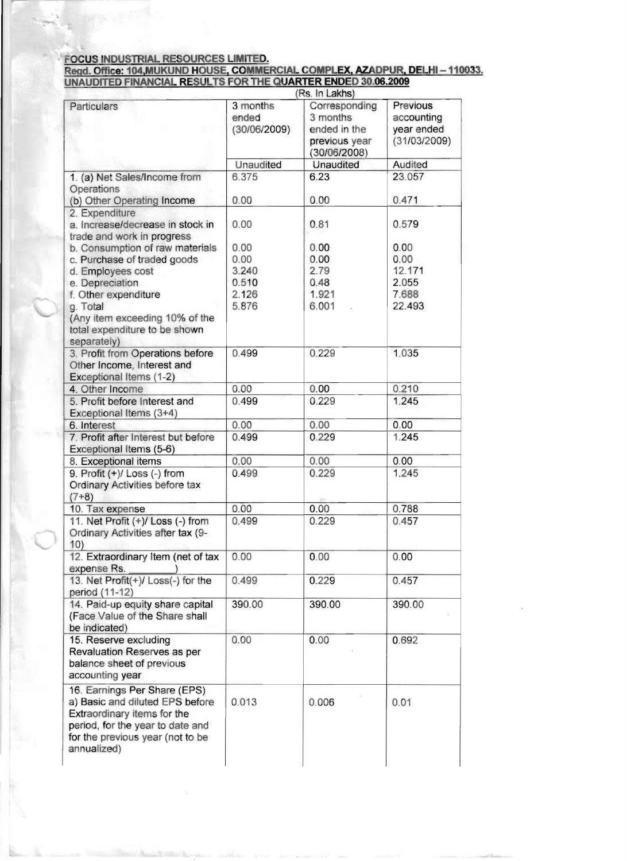## FOCUS INDUSTRIAL RESOURCES LIMITED.<br>Regd. Office: 104,MUKUND HOUSE, COMMERCIAL COMPLEX, AZADPUR, DELHI – 110033.<br>UNAUDITED FINANCIAL RESULTS FOR THE QUARTER ENDED 30.06.2009

|                                                                                                                                                                                       | (Rs. In Lakhs)                    |                                                                            |                                                      |  |
|---------------------------------------------------------------------------------------------------------------------------------------------------------------------------------------|-----------------------------------|----------------------------------------------------------------------------|------------------------------------------------------|--|
| Particulars                                                                                                                                                                           | 3 months<br>ended<br>(30/06/2009) | Corresponding<br>3 months<br>ended in the<br>previous year<br>(30/06/2008) | Previous<br>accounting<br>year ended<br>(31/03/2009) |  |
|                                                                                                                                                                                       | Unaudited                         | <b>Unaudited</b>                                                           | Audited                                              |  |
| 1. (a) Net Sales/Income from                                                                                                                                                          | 6.375                             | 6.23                                                                       | 23.057                                               |  |
| Operations<br>(b) Other Operating Income                                                                                                                                              | 0.00                              | 0.00                                                                       | 0.471                                                |  |
| 2. Expenditure<br>a. Increase/decrease in stock in<br>trade and work in progress                                                                                                      | 0.00                              | 0.81                                                                       | 0.579                                                |  |
| b. Consumption of raw materials                                                                                                                                                       | 0.00                              | 0.00                                                                       | 0.00                                                 |  |
| c. Purchase of traded goods                                                                                                                                                           | 0.00                              | 0.00                                                                       | 0.00                                                 |  |
| d. Employees cost                                                                                                                                                                     | 3.240                             | 2.79                                                                       | 12.171                                               |  |
| e. Depreciation                                                                                                                                                                       | 0.510                             | 0.48                                                                       | 2.055                                                |  |
| f. Other expenditure                                                                                                                                                                  | 2.126                             | 1.921                                                                      | 7.688                                                |  |
| g. Total                                                                                                                                                                              | 5.876                             | 6.001                                                                      | 22.493                                               |  |
| (Any item exceeding 10% of the<br>total expenditure to be shown<br>separately)                                                                                                        |                                   |                                                                            |                                                      |  |
| 3. Profit from Operations before<br>Other Income, Interest and<br>Exceptional Items (1-2)                                                                                             | 0.499                             | 0.229                                                                      | 1.035                                                |  |
| 4. Other Income                                                                                                                                                                       | 0.00                              | 0.00                                                                       | 0.210                                                |  |
| 5. Profit before Interest and<br>Exceptional Items (3+4)                                                                                                                              | 0.499                             | 0.229                                                                      | 1.245                                                |  |
| 6. Interest                                                                                                                                                                           | 0.00                              | 0.00                                                                       | 0.00                                                 |  |
| 7. Profit after Interest but before<br>Exceptional Items (5-6)                                                                                                                        | 0.499                             | 0.229                                                                      | 1.245                                                |  |
| 8. Exceptional items                                                                                                                                                                  | 0.00                              | 0.00                                                                       | 0.00                                                 |  |
| 9. Profit (+)/ Loss (-) from<br>Ordinary Activities before tax<br>$(7+8)$                                                                                                             | 0.499                             | 0.229                                                                      | 1.245                                                |  |
| 10. Tax expense                                                                                                                                                                       | 0.00                              | 0.00                                                                       | 0.788                                                |  |
| 11. Net Profit (+)/ Loss (-) from<br>Ordinary Activities after tax (9-<br>10)                                                                                                         | 0.499                             | 0.229                                                                      | 0.457                                                |  |
| 12. Extraordinary Item (net of tax<br>expense Rs.                                                                                                                                     | 0.00                              | 0.00                                                                       | 0.00                                                 |  |
| 13. Net Profit(+)/ Loss(-) for the<br>period (11-12)                                                                                                                                  | 0.499                             | 0.229                                                                      | 0.457                                                |  |
| 14. Paid-up equity share capital<br>(Face Value of the Share shall<br>be indicated)                                                                                                   | 390.00                            | 390.00                                                                     | 390.00                                               |  |
| 15. Reserve excluding<br>Revaluation Reserves as per<br>balance sheet of previous<br>accounting year                                                                                  | 0.00                              | 0.00                                                                       | 0.692                                                |  |
| 16. Earnings Per Share (EPS)<br>a) Basic and diluted EPS before<br>Extraordinary items for the<br>period, for the year to date and<br>for the previous year (not to be<br>annualized) | 0.013                             | 0.006                                                                      | 0.01                                                 |  |